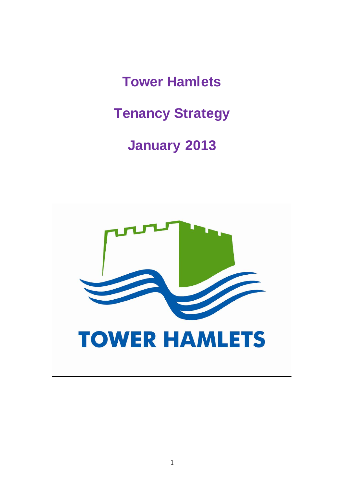**Tower Hamlets**

**Tenancy Strategy**

# **January 2013**

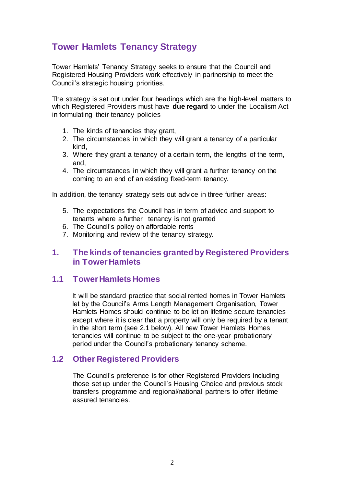# **Tower Hamlets Tenancy Strategy**

Tower Hamlets' Tenancy Strategy seeks to ensure that the Council and Registered Housing Providers work effectively in partnership to meet the Council's strategic housing priorities.

The strategy is set out under four headings which are the high-level matters to which Registered Providers must have **due regard** to under the Localism Act in formulating their tenancy policies

- 1. The kinds of tenancies they grant,
- 2. The circumstances in which they will grant a tenancy of a particular kind,
- 3. Where they grant a tenancy of a certain term, the lengths of the term, and,
- 4. The circumstances in which they will grant a further tenancy on the coming to an end of an existing fixed-term tenancy.

In addition, the tenancy strategy sets out advice in three further areas:

- 5. The expectations the Council has in term of advice and support to tenants where a further tenancy is not granted
- 6. The Council's policy on affordable rents
- 7. Monitoring and review of the tenancy strategy.

# **1. The kinds of tenancies granted by Registered Providers in Tower Hamlets**

# **1.1 Tower Hamlets Homes**

It will be standard practice that social rented homes in Tower Hamlets let by the Council's Arms Length Management Organisation, Tower Hamlets Homes should continue to be let on lifetime secure tenancies except where it is clear that a property will only be required by a tenant in the short term (see 2.1 below). All new Tower Hamlets Homes tenancies will continue to be subject to the one-year probationary period under the Council's probationary tenancy scheme.

# **1.2 Other Registered Providers**

The Council's preference is for other Registered Providers including those set up under the Council's Housing Choice and previous stock transfers programme and regional/national partners to offer lifetime assured tenancies.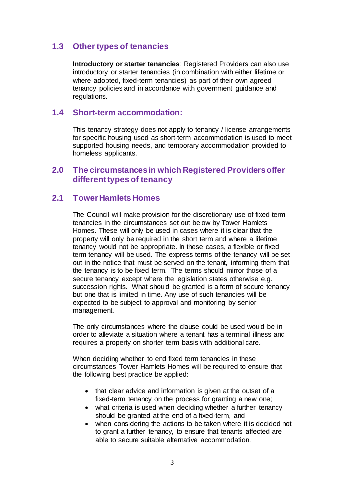# **1.3 Other types of tenancies**

**Introductory or starter tenancies**: Registered Providers can also use introductory or starter tenancies (in combination with either lifetime or where adopted, fixed-term tenancies) as part of their own agreed tenancy policies and in accordance with government guidance and regulations.

## **1.4 Short-term accommodation:**

This tenancy strategy does not apply to tenancy / license arrangements for specific housing used as short-term accommodation is used to meet supported housing needs, and temporary accommodation provided to homeless applicants.

# **2.0 The circumstances in which Registered Providers offer different types of tenancy**

# **2.1 Tower Hamlets Homes**

The Council will make provision for the discretionary use of fixed term tenancies in the circumstances set out below by Tower Hamlets Homes. These will only be used in cases where it is clear that the property will only be required in the short term and where a lifetime tenancy would not be appropriate. In these cases, a flexible or fixed term tenancy will be used. The express terms of the tenancy will be set out in the notice that must be served on the tenant, informing them that the tenancy is to be fixed term. The terms should mirror those of a secure tenancy except where the legislation states otherwise e.g. succession rights. What should be granted is a form of secure tenancy but one that is limited in time. Any use of such tenancies will be expected to be subject to approval and monitoring by senior management.

The only circumstances where the clause could be used would be in order to alleviate a situation where a tenant has a terminal illness and requires a property on shorter term basis with additional care.

When deciding whether to end fixed term tenancies in these circumstances Tower Hamlets Homes will be required to ensure that the following best practice be applied:

- that clear advice and information is given at the outset of a fixed-term tenancy on the process for granting a new one;
- what criteria is used when deciding whether a further tenancy should be granted at the end of a fixed-term, and
- when considering the actions to be taken where it is decided not to grant a further tenancy, to ensure that tenants affected are able to secure suitable alternative accommodation.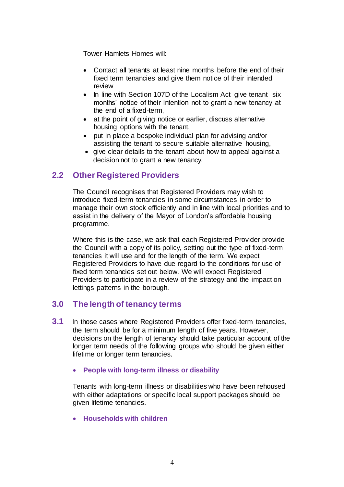Tower Hamlets Homes will:

- Contact all tenants at least nine months before the end of their fixed term tenancies and give them notice of their intended review
- In line with Section 107D of the Localism Act give tenant six months' notice of their intention not to grant a new tenancy at the end of a fixed-term,
- at the point of giving notice or earlier, discuss alternative housing options with the tenant,
- put in place a bespoke individual plan for advising and/or assisting the tenant to secure suitable alternative housing,
- give clear details to the tenant about how to appeal against a decision not to grant a new tenancy.

# **2.2 Other Registered Providers**

The Council recognises that Registered Providers may wish to introduce fixed-term tenancies in some circumstances in order to manage their own stock efficiently and in line with local priorities and to assist in the delivery of the Mayor of London's affordable housing programme.

Where this is the case, we ask that each Registered Provider provide the Council with a copy of its policy, setting out the type of fixed-term tenancies it will use and for the length of the term. We expect Registered Providers to have due regard to the conditions for use of fixed term tenancies set out below. We will expect Registered Providers to participate in a review of the strategy and the impact on lettings patterns in the borough.

# **3.0 The length of tenancy terms**

- **3.1** In those cases where Registered Providers offer fixed-term tenancies, the term should be for a minimum length of five years. However, decisions on the length of tenancy should take particular account of the longer term needs of the following groups who should be given either lifetime or longer term tenancies.
	- **People with long-term illness or disability**

Tenants with long-term illness or disabilities who have been rehoused with either adaptations or specific local support packages should be given lifetime tenancies.

**Households with children**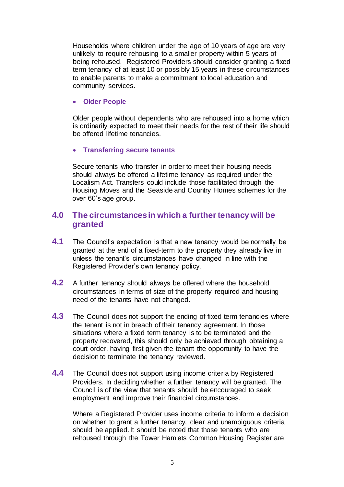Households where children under the age of 10 years of age are very unlikely to require rehousing to a smaller property within 5 years of being rehoused. Registered Providers should consider granting a fixed term tenancy of at least 10 or possibly 15 years in these circumstances to enable parents to make a commitment to local education and community services.

#### **Older People**

Older people without dependents who are rehoused into a home which is ordinarily expected to meet their needs for the rest of their life should be offered lifetime tenancies.

### **Transferring secure tenants**

Secure tenants who transfer in order to meet their housing needs should always be offered a lifetime tenancy as required under the Localism Act. Transfers could include those facilitated through the Housing Moves and the Seaside and Country Homes schemes for the over 60's age group.

# **4.0 The circumstances in which a further tenancy will be granted**

- **4.1** The Council's expectation is that a new tenancy would be normally be granted at the end of a fixed-term to the property they already live in unless the tenant's circumstances have changed in line with the Registered Provider's own tenancy policy.
- **4.2** A further tenancy should always be offered where the household circumstances in terms of size of the property required and housing need of the tenants have not changed.
- **4.3** The Council does not support the ending of fixed term tenancies where the tenant is not in breach of their tenancy agreement. In those situations where a fixed term tenancy is to be terminated and the property recovered, this should only be achieved through obtaining a court order, having first given the tenant the opportunity to have the decision to terminate the tenancy reviewed.
- **4.4** The Council does not support using income criteria by Registered Providers. In deciding whether a further tenancy will be granted. The Council is of the view that tenants should be encouraged to seek employment and improve their financial circumstances.

Where a Registered Provider uses income criteria to inform a decision on whether to grant a further tenancy, clear and unambiguous criteria should be applied. It should be noted that those tenants who are rehoused through the Tower Hamlets Common Housing Register are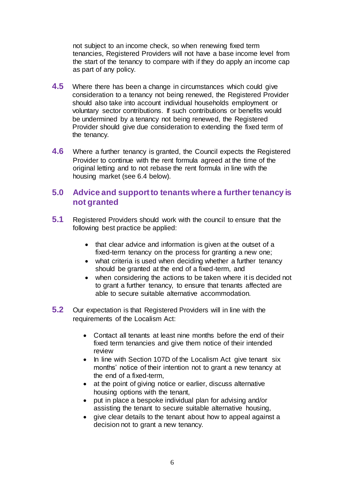not subject to an income check, so when renewing fixed term tenancies, Registered Providers will not have a base income level from the start of the tenancy to compare with if they do apply an income cap as part of any policy.

- **4.5** Where there has been a change in circumstances which could give consideration to a tenancy not being renewed, the Registered Provider should also take into account individual households employment or voluntary sector contributions. If such contributions or benefits would be undermined by a tenancy not being renewed, the Registered Provider should give due consideration to extending the fixed term of the tenancy.
- **4.6** Where a further tenancy is granted, the Council expects the Registered Provider to continue with the rent formula agreed at the time of the original letting and to not rebase the rent formula in line with the housing market (see 6.4 below).

# **5.0 Advice and support to tenants where a further tenancy is not granted**

- **5.1** Registered Providers should work with the council to ensure that the following best practice be applied:
	- that clear advice and information is given at the outset of a fixed-term tenancy on the process for granting a new one;
	- what criteria is used when deciding whether a further tenancy should be granted at the end of a fixed-term, and
	- when considering the actions to be taken where it is decided not to grant a further tenancy, to ensure that tenants affected are able to secure suitable alternative accommodation.
- **5.2** Our expectation is that Registered Providers will in line with the requirements of the Localism Act:
	- Contact all tenants at least nine months before the end of their fixed term tenancies and give them notice of their intended review
	- In line with Section 107D of the Localism Act give tenant six months' notice of their intention not to grant a new tenancy at the end of a fixed-term,
	- at the point of giving notice or earlier, discuss alternative housing options with the tenant,
	- put in place a bespoke individual plan for advising and/or assisting the tenant to secure suitable alternative housing,
	- give clear details to the tenant about how to appeal against a decision not to grant a new tenancy.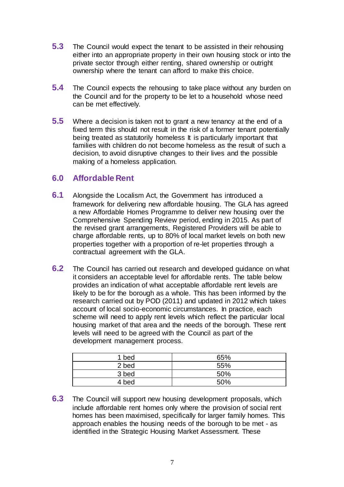- **5.3** The Council would expect the tenant to be assisted in their rehousing either into an appropriate property in their own housing stock or into the private sector through either renting, shared ownership or outright ownership where the tenant can afford to make this choice.
- **5.4** The Council expects the rehousing to take place without any burden on the Council and for the property to be let to a household whose need can be met effectively.
- **5.5** Where a decision is taken not to grant a new tenancy at the end of a fixed term this should not result in the risk of a former tenant potentially being treated as statutorily homeless It is particularly important that families with children do not become homeless as the result of such a decision, to avoid disruptive changes to their lives and the possible making of a homeless application.

# **6.0 Affordable Rent**

- **6.1** Alongside the Localism Act, the Government has introduced a framework for delivering new affordable housing. The GLA has agreed a new Affordable Homes Programme to deliver new housing over the Comprehensive Spending Review period, ending in 2015. As part of the revised grant arrangements, Registered Providers will be able to charge affordable rents, up to 80% of local market levels on both new properties together with a proportion of re-let properties through a contractual agreement with the GLA.
- **6.2** The Council has carried out research and developed guidance on what it considers an acceptable level for affordable rents. The table below provides an indication of what acceptable affordable rent levels are likely to be for the borough as a whole. This has been informed by the research carried out by POD (2011) and updated in 2012 which takes account of local socio-economic circumstances. In practice, each scheme will need to apply rent levels which reflect the particular local housing market of that area and the needs of the borough. These rent levels will need to be agreed with the Council as part of the development management process.

| 1 bed | 65% |
|-------|-----|
| 2 bed | 55% |
| 3 bed | 50% |
| 4 bed | 50% |

**6.3** The Council will support new housing development proposals, which include affordable rent homes only where the provision of social rent homes has been maximised, specifically for larger family homes. This approach enables the housing needs of the borough to be met - as identified in the Strategic Housing Market Assessment. These